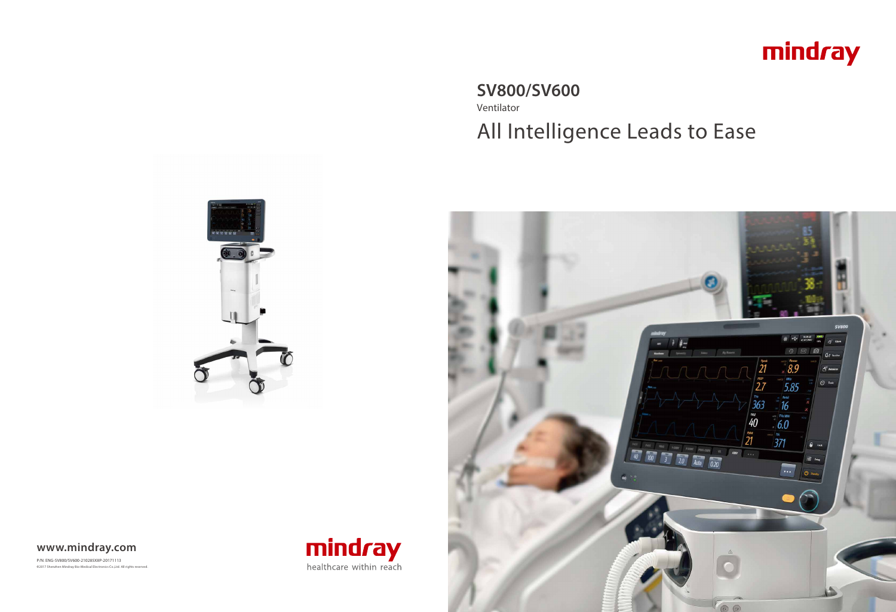# **SV800/SV600** Ventilator





# All Intelligence Leads to Ease



P/N: ENG-SV800/SV600-210285X8P-20171113 **©**2017 Shenzhen Mindray Bio-Medical Electronics Co.,Ltd. All rights reserved.





### **www.mindray.com**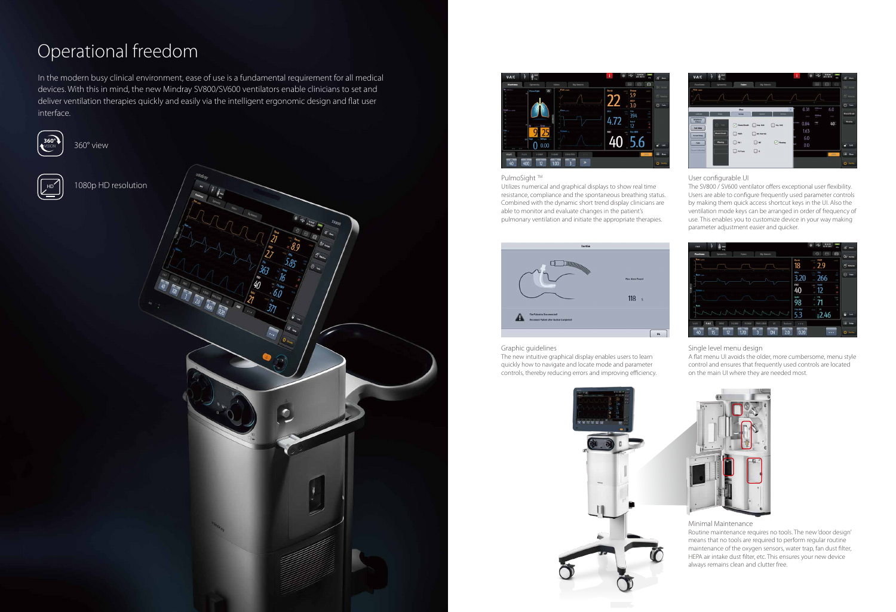# Operational freedom

360° view



1080p HD resolution





#### PulmoSight<sup>™</sup>



In the modern busy clinical environment, ease of use is a fundamental requirement for all medical devices. With this in mind, the new Mindray SV800/SV600 ventilators enable clinicians to set and deliver ventilation therapies quickly and easily via the intelligent ergonomic design and flat user interface.

> Utilizes numerical and graphical displays to show real time resistance, compliance and the spontaneous breathing status. Combined with the dynamic short trend display clinicians are able to monitor and evaluate changes in the patient's pulmonary ventilation and initiate the appropriate therapies.



#### User configurable UI

The SV800 / SV600 ventilator offers exceptional user flexibility. Users are able to configure frequently used parameter controls by making them quick access shortcut keys in the UI. Also the ventilation mode keys can be arranged in order of frequency of use. This enables you to customize device in your way making parameter adjustment easier and quicker.



Graphic guidelines

The new intuitive graphical display enables users to learn quickly how to navigate and locate mode and parameter controls, thereby reducing errors and improving efficiency.





#### Single level menu design

A flat menu UI avoids the older, more cumbersome, menu style control and ensures that frequently used controls are located on the main UI where they are needed most.



#### Minimal Maintenance

Routine maintenance requires no tools. The new 'door design' means that no tools are required to perform regular routine maintenance of the oxygen sensors, water trap, fan dust filter, HEPA air intake dust filter, etc. This ensures your new device always remains clean and clutter free.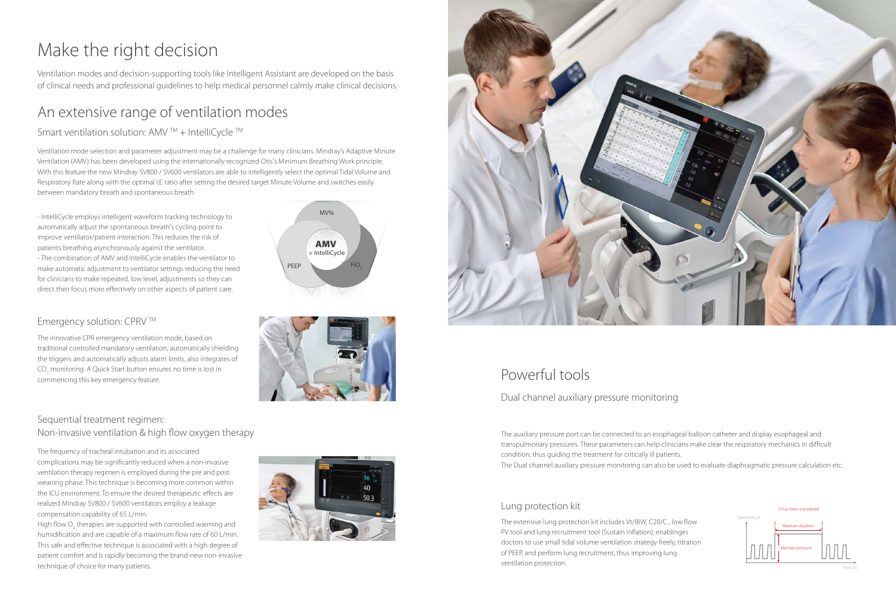MV%

PEEP

# Make the right decision

### An extensive range of ventilation modes

#### Smart ventilation solution: AMV  $TM + IntelligC$

Ventilation modes and decision-supporting tools like Intelligent Assistant are developed on the basis of clinical needs and professional guidelines to help medical personnel calmly make clinical decisions.

Ventilation mode selection and parameter adjustment may be a challenge for many clinicians. Mindray's Adaptive Minute Ventilation (AMV) has been developed using the internationally recognized Otis's Minimum Breathing Work principle. With this feature the new Mindray SV800 / SV600 ventilators are able to intelligently select the optimal Tidal Volume and Respiratory Rate along with the optimal I:E ratio after setting the desired target Minute Volume and switches easily between mandatory breath and spontaneous breath.

- IntelliCycle employs intelligent waveform tracking technology to automatically adjust the spontaneous breath's cycling point to improve ventilator/patient interaction. This reduces the risk of patients breathing asynchronously against the ventilator. - The combination of AMV and IntelliCycle enables the ventilator to make automatic adjustment to ventilator settings reducing the need for clinicians to make repeated, low level, adjustments so they can direct their focus more effectively on other aspects of patient care.

## Powerful tools

#### Dual channel auxiliary pressure monitoring

#### Lung protection kit

High flow  $\mathrm{O}_\mathrm{2}$  therapies are supported with controlled warming and humidification and are capable of a maximum flow rate of 60 L/min. This safe and effective technique is associated with a high degree of patient comfort and is rapidly becoming the brand-new non-invasive technique of choice for many patients.







The auxiliary pressure port can be connected to an esophageal balloon catheter and display esophageal and transpulmonary pressures. These parameters can help clinicians make clear the respiratory mechanics in difficult condition, thus guiding the treatment for critically ill patients. The Dual channel auxiliary pressure monitoring can also be used to evaluate diaphragmatic pressure calculation etc.

The extensive lung protection kit includes Vt/IBW, C20/C , low flow PV tool and lung recruitment tool (Sustain Inflation), enablinges doctors to use small tidal volume ventilation strategy freely, titration of PEEP, and perform lung recruitment, thus improving lung ventilation protection.



**AMV IntelliCycle** 

### Emergency solution: CPRV TM

The innovative CPR emergency ventilation mode, based on traditional controlled mandatory ventilation, automatically shielding the triggers and automatically adjusts alarm limits, also integrates of  $\mathrm{CO}_2$  monitoring. A Quick Start button ensures no time is lost in commencing this key emergency feature.

#### Sequential treatment regimen: Non-invasive ventilation & high flow oxygen therapy

The frequency of tracheal intubation and its associated complications may be significantly reduced when a non-invasive ventilation therapy regimen is employed during the pre and post weaning phase. This technique is becoming more common within the ICU environment. To ensure the desired therapeutic effects are realized Mindray SV800 / SV600 ventilators employ a leakage compensation capability of 65 L/min.